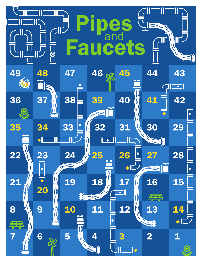